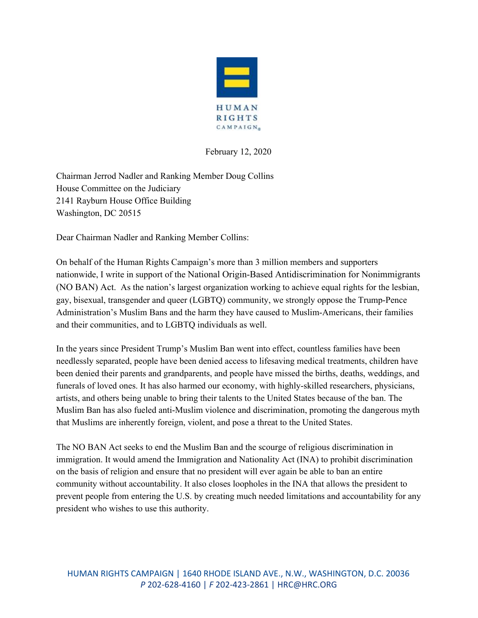

February 12, 2020

Chairman Jerrod Nadler and Ranking Member Doug Collins House Committee on the Judiciary 2141 Rayburn House Office Building Washington, DC 20515

Dear Chairman Nadler and Ranking Member Collins:

On behalf of the Human Rights Campaign's more than 3 million members and supporters nationwide, I write in support of the National Origin-Based Antidiscrimination for Nonimmigrants (NO BAN) Act. As the nation's largest organization working to achieve equal rights for the lesbian, gay, bisexual, transgender and queer (LGBTQ) community, we strongly oppose the Trump-Pence Administration's Muslim Bans and the harm they have caused to Muslim-Americans, their families and their communities, and to LGBTQ individuals as well.

In the years since President Trump's Muslim Ban went into effect, countless families have been needlessly separated, people have been denied access to lifesaving medical treatments, children have been denied their parents and grandparents, and people have missed the births, deaths, weddings, and funerals of loved ones. It has also harmed our economy, with highly-skilled researchers, physicians, artists, and others being unable to bring their talents to the United States because of the ban. The Muslim Ban has also fueled anti-Muslim violence and discrimination, promoting the dangerous myth that Muslims are inherently foreign, violent, and pose a threat to the United States.

The NO BAN Act seeks to end the Muslim Ban and the scourge of religious discrimination in immigration. It would amend the Immigration and Nationality Act (INA) to prohibit discrimination on the basis of religion and ensure that no president will ever again be able to ban an entire community without accountability. It also closes loopholes in the INA that allows the president to prevent people from entering the U.S. by creating much needed limitations and accountability for any president who wishes to use this authority.

HUMAN RIGHTS CAMPAIGN | 1640 RHODE ISLAND AVE., N.W., WASHINGTON, D.C. 20036 *P* 202-628-4160 | *F* 202-423-2861 | HRC@HRC.ORG